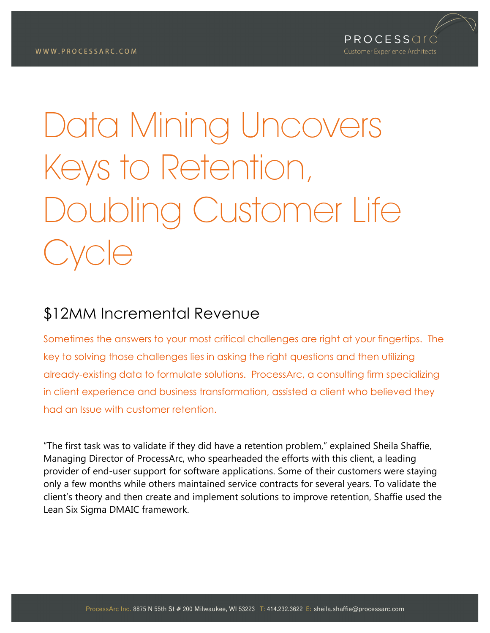

# Data Mining Uncovers Keys to Retention, Doubling Customer Life VCIe

# \$12MM Incremental Revenue

Sometimes the answers to your most critical challenges are right at your fingertips. The key to solving those challenges lies in asking the right questions and then utilizing already-existing data to formulate solutions. ProcessArc, a consulting firm specializing in client experience and business transformation, assisted a client who believed they had an Issue with customer retention.

"The first task was to validate if they did have a retention problem," explained Sheila Shaffie, Managing Director of ProcessArc, who spearheaded the efforts with this client, a leading provider of end-user support for software applications. Some of their customers were staying only a few months while others maintained service contracts for several years. To validate the client's theory and then create and implement solutions to improve retention, Shaffie used the Lean Six Sigma DMAIC framework.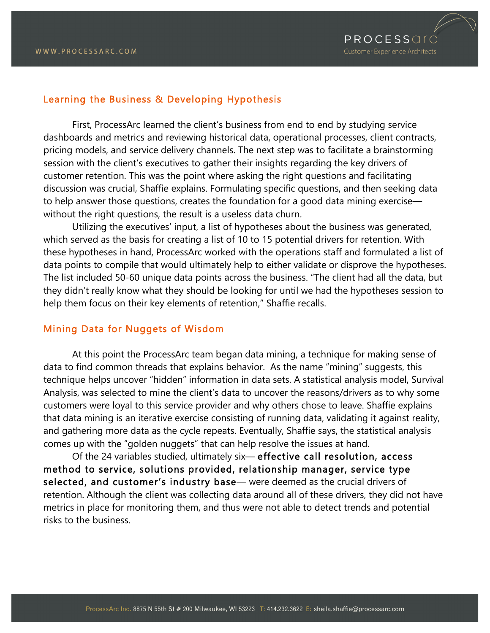

### Learning the Business & Developing Hypothesis

First, ProcessArc learned the client's business from end to end by studying service dashboards and metrics and reviewing historical data, operational processes, client contracts, pricing models, and service delivery channels. The next step was to facilitate a brainstorming session with the client's executives to gather their insights regarding the key drivers of customer retention. This was the point where asking the right questions and facilitating discussion was crucial, Shaffie explains. Formulating specific questions, and then seeking data to help answer those questions, creates the foundation for a good data mining exercise without the right questions, the result is a useless data churn.

Utilizing the executives' input, a list of hypotheses about the business was generated, which served as the basis for creating a list of 10 to 15 potential drivers for retention. With these hypotheses in hand, ProcessArc worked with the operations staff and formulated a list of data points to compile that would ultimately help to either validate or disprove the hypotheses. The list included 50-60 unique data points across the business. "The client had all the data, but they didn't really know what they should be looking for until we had the hypotheses session to help them focus on their key elements of retention," Shaffie recalls.

#### Mining Data for Nuggets of Wisdom

At this point the ProcessArc team began data mining, a technique for making sense of data to find common threads that explains behavior. As the name "mining" suggests, this technique helps uncover "hidden" information in data sets. A statistical analysis model, Survival Analysis, was selected to mine the client's data to uncover the reasons/drivers as to why some customers were loyal to this service provider and why others chose to leave. Shaffie explains that data mining is an iterative exercise consisting of running data, validating it against reality, and gathering more data as the cycle repeats. Eventually, Shaffie says, the statistical analysis comes up with the "golden nuggets" that can help resolve the issues at hand.

Of the 24 variables studied, ultimately six— effective call resolution, access method to service, solutions provided, relationship manager, service type selected, and customer's industry base— were deemed as the crucial drivers of retention. Although the client was collecting data around all of these drivers, they did not have metrics in place for monitoring them, and thus were not able to detect trends and potential risks to the business.